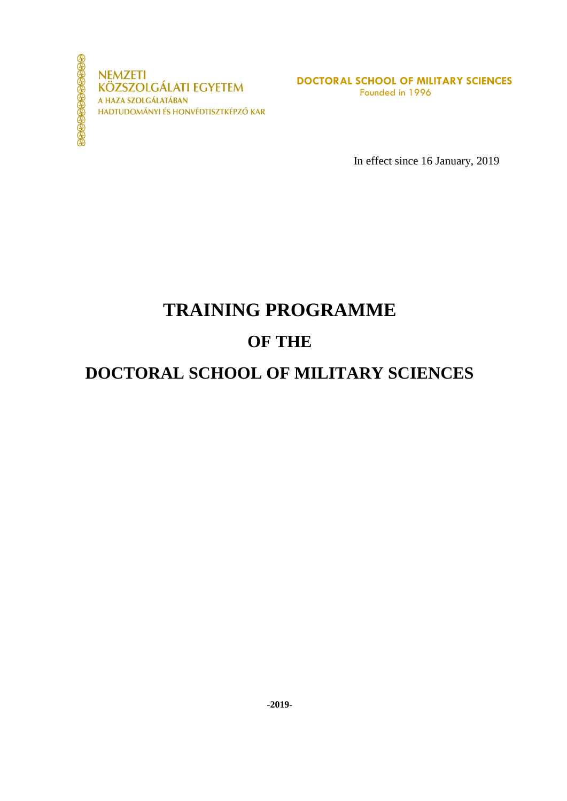

**NEMZETI KÖZSZOLGÁLATI EGYETEM** A HAZA SZOLGÁLATÁBAN HADTUDOMÁNYI ÉS HONVÉDTISZTKÉPZŐ KAR

**DOCTORAL SCHOOL OF MILITARY SCIENCES** Founded in 1996

In effect since 16 January, 2019

# **TRAINING PROGRAMME**

# **OF THE**

# **DOCTORAL SCHOOL OF MILITARY SCIENCES**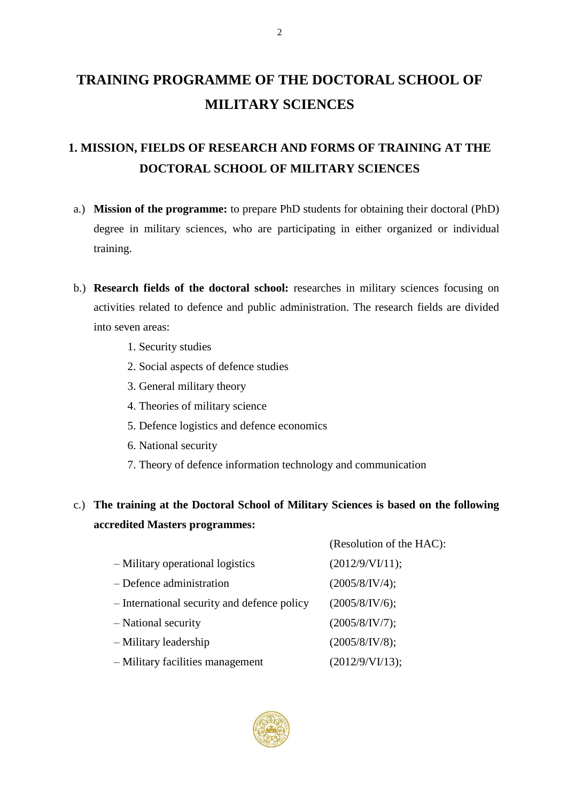# **TRAINING PROGRAMME OF THE DOCTORAL SCHOOL OF MILITARY SCIENCES**

# **1. MISSION, FIELDS OF RESEARCH AND FORMS OF TRAINING AT THE DOCTORAL SCHOOL OF MILITARY SCIENCES**

- a.) **Mission of the programme:** to prepare PhD students for obtaining their doctoral (PhD) degree in military sciences, who are participating in either organized or individual training.
- b.) **Research fields of the doctoral school:** researches in military sciences focusing on activities related to defence and public administration. The research fields are divided into seven areas:
	- 1. Security studies
	- 2. Social aspects of defence studies
	- 3. General military theory
	- 4. Theories of military science
	- 5. Defence logistics and defence economics
	- 6. National security
	- 7. Theory of defence information technology and communication

## c.) **The training at the Doctoral School of Military Sciences is based on the following accredited Masters programmes:**

|                                             | (Resolution of the HAC): |
|---------------------------------------------|--------------------------|
| - Military operational logistics            | (2012/9/VI/11);          |
| $-$ Defence administration                  | (2005/8/IV/4);           |
| - International security and defence policy | (2005/8/IV/6);           |
| - National security                         | (2005/8/IV/7);           |
| - Military leadership                       | (2005/8/IV/8);           |
| - Military facilities management            | (2012/9/VI/13);          |

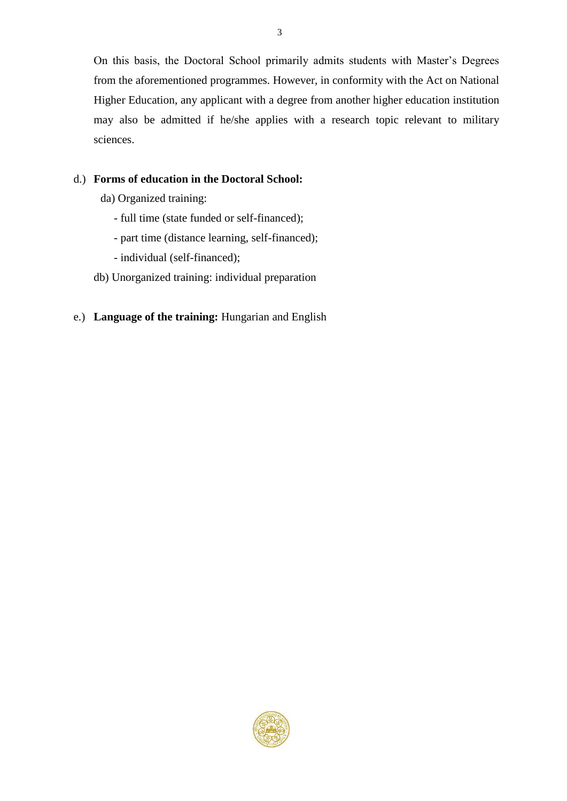On this basis, the Doctoral School primarily admits students with Master's Degrees from the aforementioned programmes. However, in conformity with the Act on National Higher Education, any applicant with a degree from another higher education institution may also be admitted if he/she applies with a research topic relevant to military sciences.

## d.) **Forms of education in the Doctoral School:**

- da) Organized training:
	- full time (state funded or self-financed);
	- part time (distance learning, self-financed);
	- individual (self-financed);
- db) Unorganized training: individual preparation

### e.) **Language of the training:** Hungarian and English

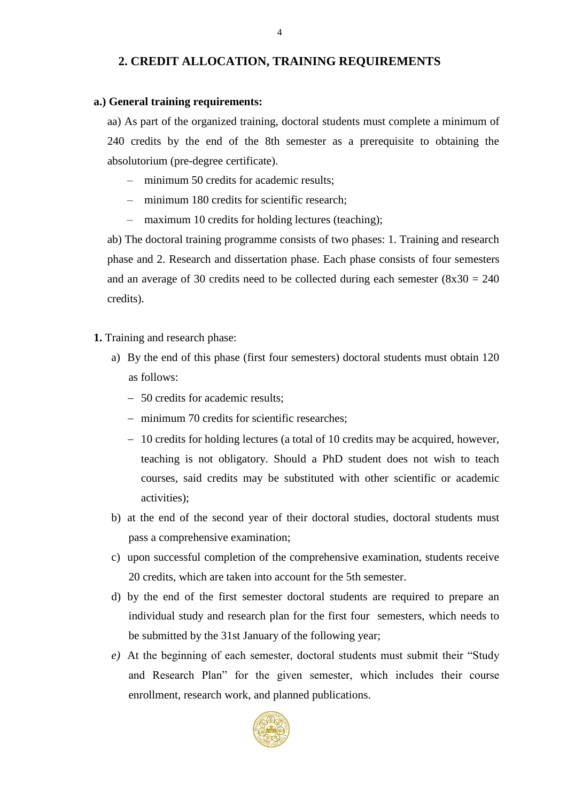#### **2. CREDIT ALLOCATION, TRAINING REQUIREMENTS**

#### **a.) General training requirements:**

aa) As part of the organized training, doctoral students must complete a minimum of 240 credits by the end of the 8th semester as a prerequisite to obtaining the absolutorium (pre-degree certificate).

- minimum 50 credits for academic results;
- minimum 180 credits for scientific research;
- maximum 10 credits for holding lectures (teaching);

ab) The doctoral training programme consists of two phases: 1. Training and research phase and 2. Research and dissertation phase. Each phase consists of four semesters and an average of 30 credits need to be collected during each semester  $(8x30 = 240)$ credits).

- **1.** Training and research phase:
	- a) By the end of this phase (first four semesters) doctoral students must obtain 120 as follows:
		- 50 credits for academic results;
		- minimum 70 credits for scientific researches;
		- 10 credits for holding lectures (a total of 10 credits may be acquired, however, teaching is not obligatory. Should a PhD student does not wish to teach courses, said credits may be substituted with other scientific or academic activities);
	- b) at the end of the second year of their doctoral studies, doctoral students must pass a comprehensive examination;
	- c) upon successful completion of the comprehensive examination, students receive 20 credits, which are taken into account for the 5th semester.
	- d) by the end of the first semester doctoral students are required to prepare an individual study and research plan for the first four semesters, which needs to be submitted by the 31st January of the following year;
	- *e)* At the beginning of each semester, doctoral students must submit their "Study and Research Plan" for the given semester, which includes their course enrollment, research work, and planned publications.

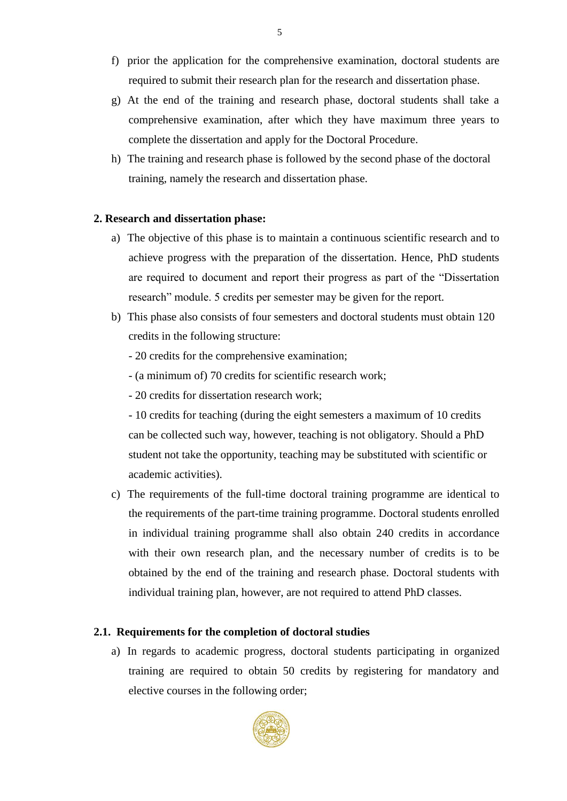- f) prior the application for the comprehensive examination, doctoral students are required to submit their research plan for the research and dissertation phase.
- g) At the end of the training and research phase, doctoral students shall take a comprehensive examination, after which they have maximum three years to complete the dissertation and apply for the Doctoral Procedure.
- h) The training and research phase is followed by the second phase of the doctoral training, namely the research and dissertation phase.

#### **2. Research and dissertation phase:**

- a) The objective of this phase is to maintain a continuous scientific research and to achieve progress with the preparation of the dissertation. Hence, PhD students are required to document and report their progress as part of the "Dissertation research" module. 5 credits per semester may be given for the report.
- b) This phase also consists of four semesters and doctoral students must obtain 120 credits in the following structure:
	- 20 credits for the comprehensive examination;
	- (a minimum of) 70 credits for scientific research work;
	- 20 credits for dissertation research work;

- 10 credits for teaching (during the eight semesters a maximum of 10 credits can be collected such way, however, teaching is not obligatory. Should a PhD student not take the opportunity, teaching may be substituted with scientific or academic activities).

c) The requirements of the full-time doctoral training programme are identical to the requirements of the part-time training programme. Doctoral students enrolled in individual training programme shall also obtain 240 credits in accordance with their own research plan, and the necessary number of credits is to be obtained by the end of the training and research phase. Doctoral students with individual training plan, however, are not required to attend PhD classes.

#### **2.1. Requirements for the completion of doctoral studies**

a) In regards to academic progress, doctoral students participating in organized training are required to obtain 50 credits by registering for mandatory and elective courses in the following order;

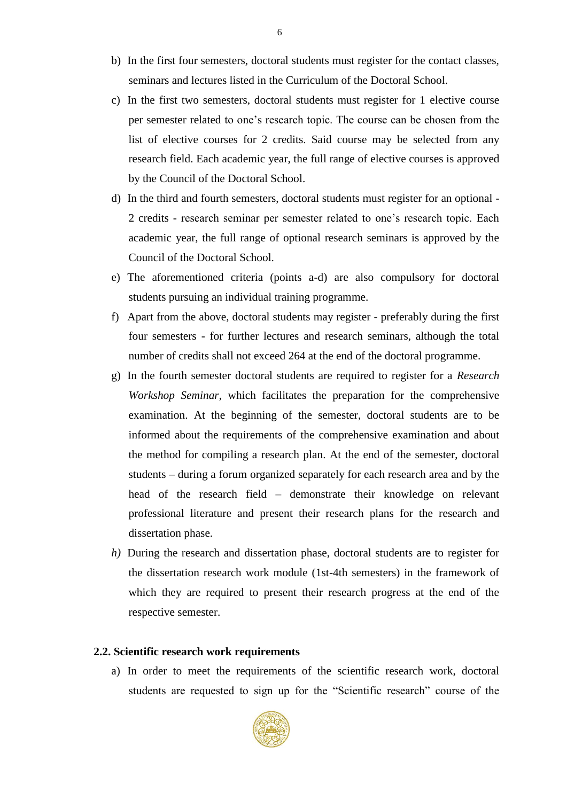- b) In the first four semesters, doctoral students must register for the contact classes, seminars and lectures listed in the Curriculum of the Doctoral School.
- c) In the first two semesters, doctoral students must register for 1 elective course per semester related to one's research topic. The course can be chosen from the list of elective courses for 2 credits. Said course may be selected from any research field. Each academic year, the full range of elective courses is approved by the Council of the Doctoral School.
- d) In the third and fourth semesters, doctoral students must register for an optional 2 credits - research seminar per semester related to one's research topic. Each academic year, the full range of optional research seminars is approved by the Council of the Doctoral School.
- e) The aforementioned criteria (points a-d) are also compulsory for doctoral students pursuing an individual training programme.
- f) Apart from the above, doctoral students may register preferably during the first four semesters - for further lectures and research seminars, although the total number of credits shall not exceed 264 at the end of the doctoral programme.
- g) In the fourth semester doctoral students are required to register for a *Research Workshop Seminar*, which facilitates the preparation for the comprehensive examination. At the beginning of the semester, doctoral students are to be informed about the requirements of the comprehensive examination and about the method for compiling a research plan. At the end of the semester, doctoral students – during a forum organized separately for each research area and by the head of the research field – demonstrate their knowledge on relevant professional literature and present their research plans for the research and dissertation phase.
- *h)* During the research and dissertation phase, doctoral students are to register for the dissertation research work module (1st-4th semesters) in the framework of which they are required to present their research progress at the end of the respective semester.

#### **2.2. Scientific research work requirements**

a) In order to meet the requirements of the scientific research work, doctoral students are requested to sign up for the "Scientific research" course of the

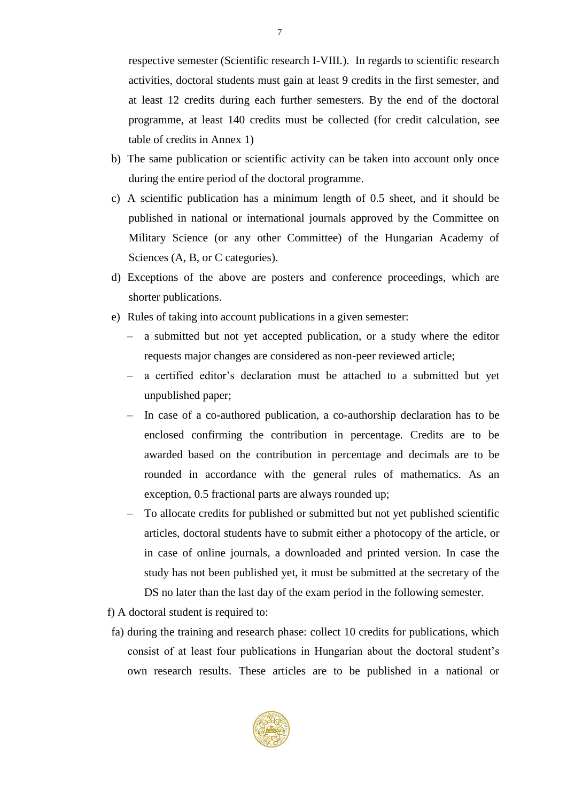respective semester (Scientific research I-VIII.). In regards to scientific research activities, doctoral students must gain at least 9 credits in the first semester, and at least 12 credits during each further semesters. By the end of the doctoral programme, at least 140 credits must be collected (for credit calculation, see table of credits in Annex 1)

- b) The same publication or scientific activity can be taken into account only once during the entire period of the doctoral programme.
- c) A scientific publication has a minimum length of 0.5 sheet, and it should be published in national or international journals approved by the Committee on Military Science (or any other Committee) of the Hungarian Academy of Sciences (A, B, or C categories).
- d) Exceptions of the above are posters and conference proceedings, which are shorter publications.
- e) Rules of taking into account publications in a given semester:
	- a submitted but not yet accepted publication, or a study where the editor requests major changes are considered as non-peer reviewed article;
	- a certified editor's declaration must be attached to a submitted but yet unpublished paper;
	- In case of a co-authored publication, a co-authorship declaration has to be enclosed confirming the contribution in percentage. Credits are to be awarded based on the contribution in percentage and decimals are to be rounded in accordance with the general rules of mathematics. As an exception, 0.5 fractional parts are always rounded up;
	- To allocate credits for published or submitted but not yet published scientific articles, doctoral students have to submit either a photocopy of the article, or in case of online journals, a downloaded and printed version. In case the study has not been published yet, it must be submitted at the secretary of the DS no later than the last day of the exam period in the following semester.
- f) A doctoral student is required to:
- fa) during the training and research phase: collect 10 credits for publications, which consist of at least four publications in Hungarian about the doctoral student's own research results. These articles are to be published in a national or

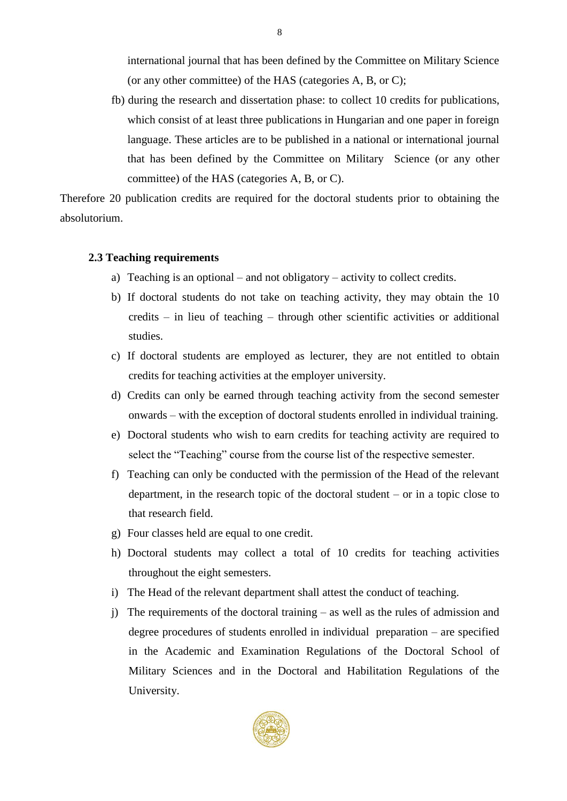international journal that has been defined by the Committee on Military Science (or any other committee) of the HAS (categories A, B, or C);

fb) during the research and dissertation phase: to collect 10 credits for publications, which consist of at least three publications in Hungarian and one paper in foreign language. These articles are to be published in a national or international journal that has been defined by the Committee on Military Science (or any other committee) of the HAS (categories A, B, or C).

Therefore 20 publication credits are required for the doctoral students prior to obtaining the absolutorium.

#### **2.3 Teaching requirements**

- a) Teaching is an optional and not obligatory activity to collect credits.
- b) If doctoral students do not take on teaching activity, they may obtain the 10 credits – in lieu of teaching – through other scientific activities or additional studies.
- c) If doctoral students are employed as lecturer, they are not entitled to obtain credits for teaching activities at the employer university.
- d) Credits can only be earned through teaching activity from the second semester onwards – with the exception of doctoral students enrolled in individual training.
- e) Doctoral students who wish to earn credits for teaching activity are required to select the "Teaching" course from the course list of the respective semester.
- f) Teaching can only be conducted with the permission of the Head of the relevant department, in the research topic of the doctoral student – or in a topic close to that research field.
- g) Four classes held are equal to one credit.
- h) Doctoral students may collect a total of 10 credits for teaching activities throughout the eight semesters.
- i) The Head of the relevant department shall attest the conduct of teaching.
- j) The requirements of the doctoral training as well as the rules of admission and degree procedures of students enrolled in individual preparation – are specified in the Academic and Examination Regulations of the Doctoral School of Military Sciences and in the Doctoral and Habilitation Regulations of the University.

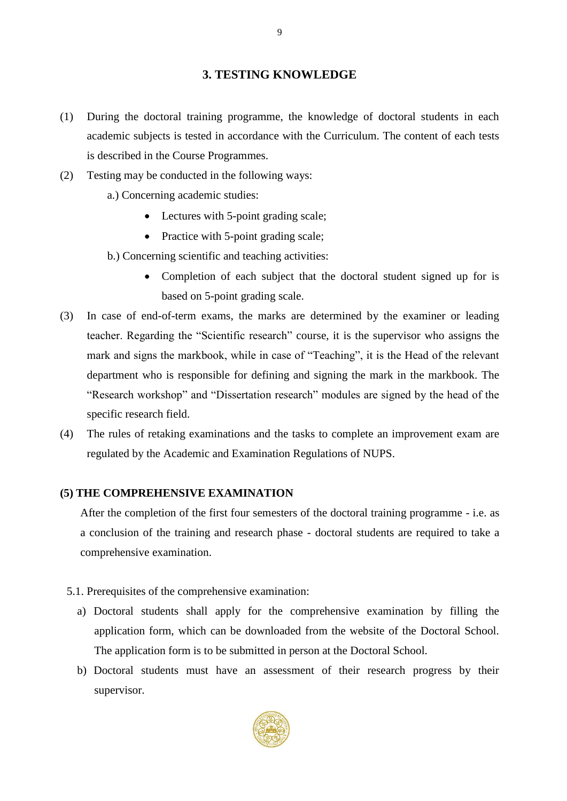#### **3. TESTING KNOWLEDGE**

- (1) During the doctoral training programme, the knowledge of doctoral students in each academic subjects is tested in accordance with the Curriculum. The content of each tests is described in the Course Programmes.
- (2) Testing may be conducted in the following ways:
	- a.) Concerning academic studies:
		- Lectures with 5-point grading scale;
		- Practice with 5-point grading scale;
	- b.) Concerning scientific and teaching activities:
		- Completion of each subject that the doctoral student signed up for is based on 5-point grading scale.
- (3) In case of end-of-term exams, the marks are determined by the examiner or leading teacher. Regarding the "Scientific research" course, it is the supervisor who assigns the mark and signs the markbook, while in case of "Teaching", it is the Head of the relevant department who is responsible for defining and signing the mark in the markbook. The "Research workshop" and "Dissertation research" modules are signed by the head of the specific research field.
- (4) The rules of retaking examinations and the tasks to complete an improvement exam are regulated by the Academic and Examination Regulations of NUPS.

#### **(5) THE COMPREHENSIVE EXAMINATION**

After the completion of the first four semesters of the doctoral training programme - i.e. as a conclusion of the training and research phase - doctoral students are required to take a comprehensive examination.

- 5.1. Prerequisites of the comprehensive examination:
	- a) Doctoral students shall apply for the comprehensive examination by filling the application form, which can be downloaded from the website of the Doctoral School. The application form is to be submitted in person at the Doctoral School.
	- b) Doctoral students must have an assessment of their research progress by their supervisor.

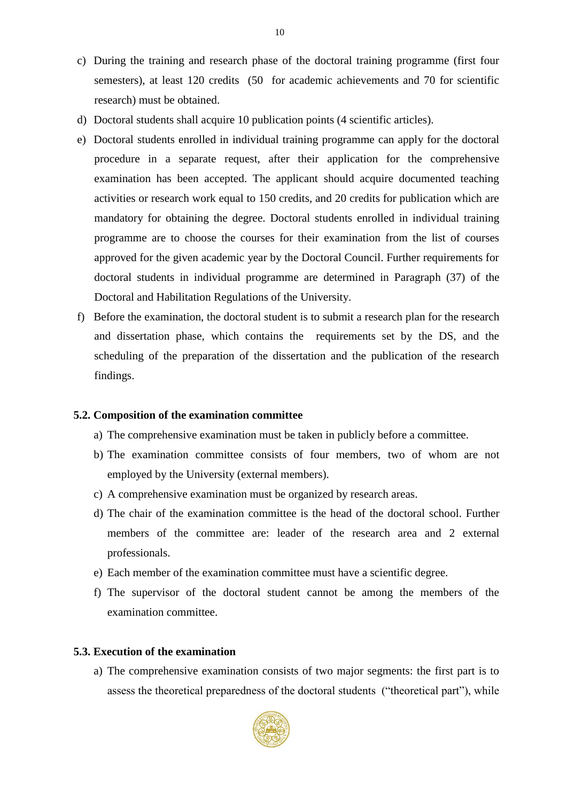- c) During the training and research phase of the doctoral training programme (first four semesters), at least 120 credits (50 for academic achievements and 70 for scientific research) must be obtained.
- d) Doctoral students shall acquire 10 publication points (4 scientific articles).
- e) Doctoral students enrolled in individual training programme can apply for the doctoral procedure in a separate request, after their application for the comprehensive examination has been accepted. The applicant should acquire documented teaching activities or research work equal to 150 credits, and 20 credits for publication which are mandatory for obtaining the degree. Doctoral students enrolled in individual training programme are to choose the courses for their examination from the list of courses approved for the given academic year by the Doctoral Council. Further requirements for doctoral students in individual programme are determined in Paragraph (37) of the Doctoral and Habilitation Regulations of the University.
- f) Before the examination, the doctoral student is to submit a research plan for the research and dissertation phase, which contains the requirements set by the DS, and the scheduling of the preparation of the dissertation and the publication of the research findings.

### **5.2. Composition of the examination committee**

- a) The comprehensive examination must be taken in publicly before a committee.
- b) The examination committee consists of four members, two of whom are not employed by the University (external members).
- c) A comprehensive examination must be organized by research areas.
- d) The chair of the examination committee is the head of the doctoral school. Further members of the committee are: leader of the research area and 2 external professionals.
- e) Each member of the examination committee must have a scientific degree.
- f) The supervisor of the doctoral student cannot be among the members of the examination committee.

#### **5.3. Execution of the examination**

a) The comprehensive examination consists of two major segments: the first part is to assess the theoretical preparedness of the doctoral students ("theoretical part"), while

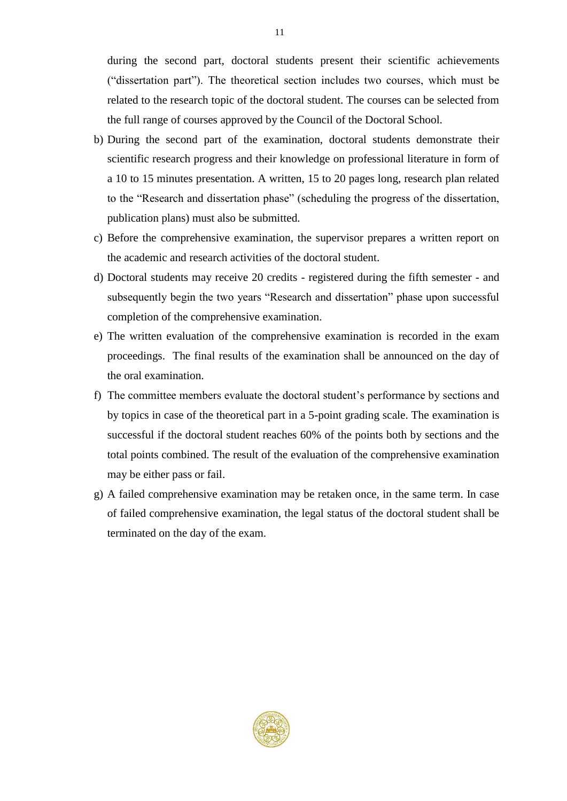during the second part, doctoral students present their scientific achievements ("dissertation part"). The theoretical section includes two courses, which must be related to the research topic of the doctoral student. The courses can be selected from the full range of courses approved by the Council of the Doctoral School.

- b) During the second part of the examination, doctoral students demonstrate their scientific research progress and their knowledge on professional literature in form of a 10 to 15 minutes presentation. A written, 15 to 20 pages long, research plan related to the "Research and dissertation phase" (scheduling the progress of the dissertation, publication plans) must also be submitted.
- c) Before the comprehensive examination, the supervisor prepares a written report on the academic and research activities of the doctoral student.
- d) Doctoral students may receive 20 credits registered during the fifth semester and subsequently begin the two years "Research and dissertation" phase upon successful completion of the comprehensive examination.
- e) The written evaluation of the comprehensive examination is recorded in the exam proceedings. The final results of the examination shall be announced on the day of the oral examination.
- f) The committee members evaluate the doctoral student's performance by sections and by topics in case of the theoretical part in a 5-point grading scale. The examination is successful if the doctoral student reaches 60% of the points both by sections and the total points combined. The result of the evaluation of the comprehensive examination may be either pass or fail.
- g) A failed comprehensive examination may be retaken once, in the same term. In case of failed comprehensive examination, the legal status of the doctoral student shall be terminated on the day of the exam.

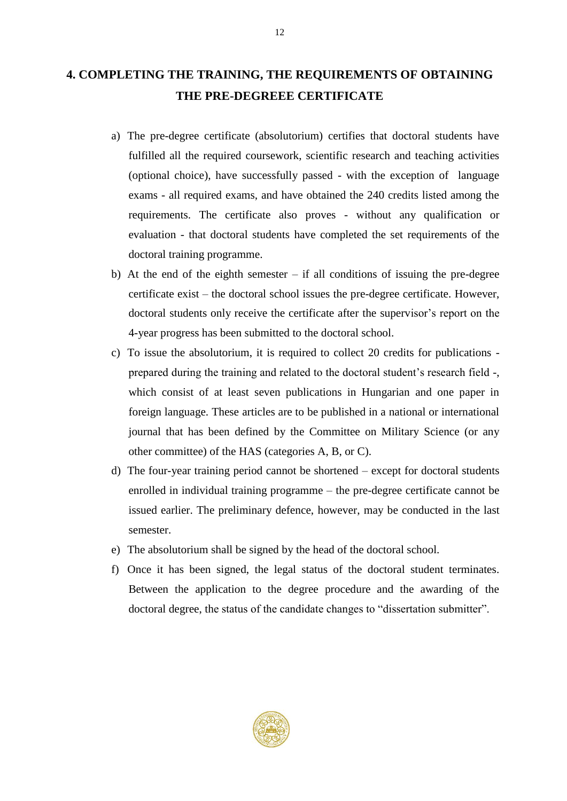## **4. COMPLETING THE TRAINING, THE REQUIREMENTS OF OBTAINING THE PRE-DEGREEE CERTIFICATE**

- a) The pre-degree certificate (absolutorium) certifies that doctoral students have fulfilled all the required coursework, scientific research and teaching activities (optional choice), have successfully passed - with the exception of language exams - all required exams, and have obtained the 240 credits listed among the requirements. The certificate also proves - without any qualification or evaluation - that doctoral students have completed the set requirements of the doctoral training programme.
- b) At the end of the eighth semester if all conditions of issuing the pre-degree certificate exist – the doctoral school issues the pre-degree certificate. However, doctoral students only receive the certificate after the supervisor's report on the 4-year progress has been submitted to the doctoral school.
- c) To issue the absolutorium, it is required to collect 20 credits for publications prepared during the training and related to the doctoral student's research field -, which consist of at least seven publications in Hungarian and one paper in foreign language. These articles are to be published in a national or international journal that has been defined by the Committee on Military Science (or any other committee) of the HAS (categories A, B, or C).
- d) The four-year training period cannot be shortened except for doctoral students enrolled in individual training programme – the pre-degree certificate cannot be issued earlier. The preliminary defence, however, may be conducted in the last semester.
- e) The absolutorium shall be signed by the head of the doctoral school.
- f) Once it has been signed, the legal status of the doctoral student terminates. Between the application to the degree procedure and the awarding of the doctoral degree, the status of the candidate changes to "dissertation submitter".

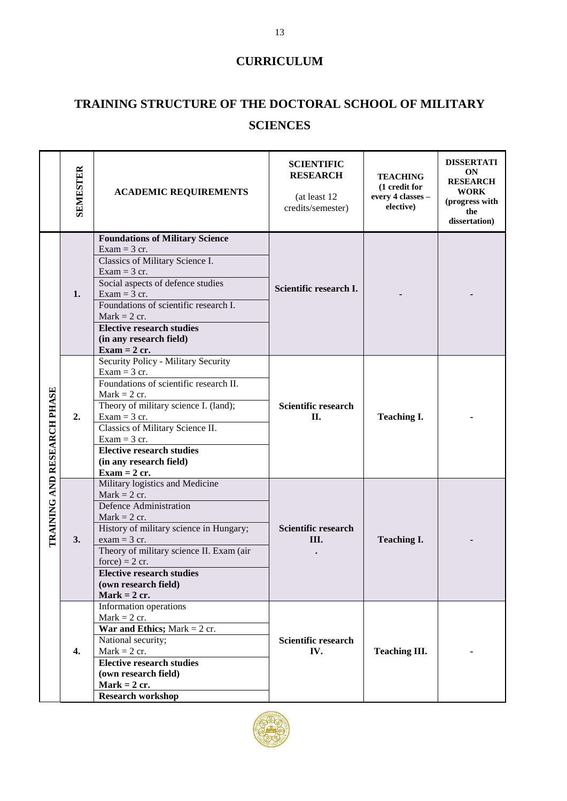## **CURRICULUM**

# **TRAINING STRUCTURE OF THE DOCTORAL SCHOOL OF MILITARY SCIENCES**

|                                    | <b>SEMESTER</b> | <b>ACADEMIC REQUIREMENTS</b>                                                                                                                                                                                                                                                                                                         | <b>SCIENTIFIC</b><br><b>RESEARCH</b><br>(at least 12)<br>credits/semester) | <b>TEACHING</b><br>(1 credit for<br>every 4 classes -<br>elective) | <b>DISSERTATI</b><br><b>ON</b><br><b>RESEARCH</b><br><b>WORK</b><br>(progress with<br>the<br>dissertation) |
|------------------------------------|-----------------|--------------------------------------------------------------------------------------------------------------------------------------------------------------------------------------------------------------------------------------------------------------------------------------------------------------------------------------|----------------------------------------------------------------------------|--------------------------------------------------------------------|------------------------------------------------------------------------------------------------------------|
|                                    | 1.              | <b>Foundations of Military Science</b><br>$Exam = 3$ cr.<br>Classics of Military Science I.<br>$Exam = 3$ cr.<br>Social aspects of defence studies<br>$Exam = 3$ cr.<br>Foundations of scientific research I.<br>Mark $= 2$ cr.<br><b>Elective research studies</b><br>(in any research field)<br>$\textbf{Exam} = 2 \text{ cr.}$    | Scientific research I.                                                     |                                                                    |                                                                                                            |
| <b>TRAINING AND RESEARCH PHASE</b> | 2.              | Security Policy - Military Security<br>$Exam = 3$ cr.<br>Foundations of scientific research II.<br>$Mark = 2$ cr.<br>Theory of military science I. (land);<br>$Exam = 3$ cr.<br>Classics of Military Science II.<br>$Exam = 3$ cr.<br><b>Elective research studies</b><br>(in any research field)<br>$\textbf{Exam} = 2 \text{ cr.}$ | Scientific research<br>П.                                                  | <b>Teaching I.</b>                                                 |                                                                                                            |
|                                    | 3.              | Military logistics and Medicine<br>$Mark = 2$ cr.<br><b>Defence Administration</b><br>$Mark = 2$ cr.<br>History of military science in Hungary;<br>$exam = 3$ cr.<br>Theory of military science II. Exam (air<br>$force) = 2 cr.$<br><b>Elective research studies</b><br>(own research field)<br>Mark = $2$ cr.                      | Scientific research<br>III.                                                | <b>Teaching I.</b>                                                 |                                                                                                            |
|                                    | 4.              | Information operations<br>$Mark = 2$ cr.<br>War and Ethics; Mark = $2$ cr.<br>National security;<br>$Mark = 2$ cr.<br><b>Elective research studies</b><br>(own research field)<br>Mark = $2$ cr.<br><b>Research workshop</b>                                                                                                         | <b>Scientific research</b><br>IV.                                          | <b>Teaching III.</b>                                               |                                                                                                            |

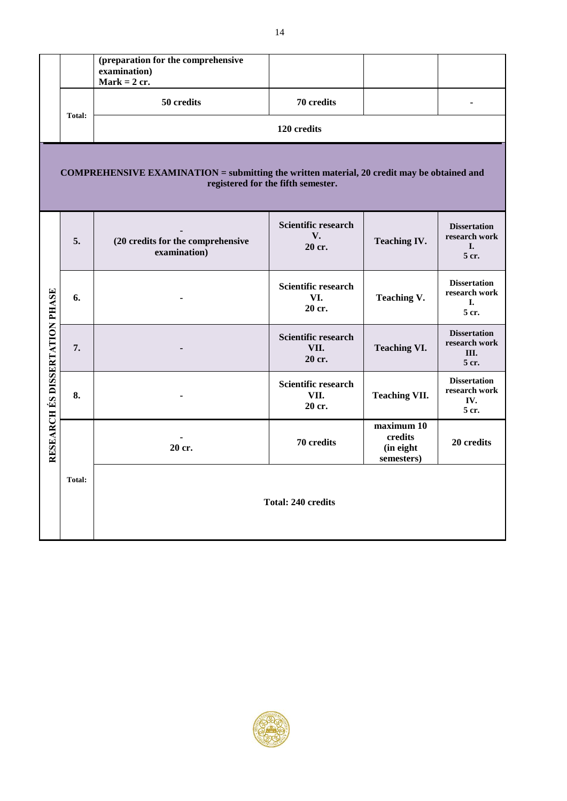|                                                                                                                                         |               | (preparation for the comprehensive<br>examination)<br>Mark = $2$ cr. |                                       |                                                  |                                                       |
|-----------------------------------------------------------------------------------------------------------------------------------------|---------------|----------------------------------------------------------------------|---------------------------------------|--------------------------------------------------|-------------------------------------------------------|
|                                                                                                                                         | <b>Total:</b> | 50 credits                                                           | 70 credits                            |                                                  |                                                       |
|                                                                                                                                         |               |                                                                      | 120 credits                           |                                                  |                                                       |
| <b>COMPREHENSIVE EXAMINATION</b> = submitting the written material, 20 credit may be obtained and<br>registered for the fifth semester. |               |                                                                      |                                       |                                                  |                                                       |
|                                                                                                                                         | 5.            | (20 credits for the comprehensive<br>examination)                    | Scientific research<br>V.<br>20 cr.   | <b>Teaching IV.</b>                              | <b>Dissertation</b><br>research work<br>I.<br>5 cr.   |
|                                                                                                                                         | 6.            |                                                                      | Scientific research<br>VI.<br>20 cr.  | <b>Teaching V.</b>                               | <b>Dissertation</b><br>research work<br>L.<br>5 cr.   |
| RESEARCH ÉS DISSERTATION PHASE                                                                                                          | 7.            |                                                                      | Scientific research<br>VII.<br>20 cr. | <b>Teaching VI.</b>                              | <b>Dissertation</b><br>research work<br>III.<br>5 cr. |
|                                                                                                                                         | 8.            |                                                                      | Scientific research<br>VII.<br>20 cr. | <b>Teaching VII.</b>                             | <b>Dissertation</b><br>research work<br>IV.<br>5 cr.  |
|                                                                                                                                         | 20 cr.        |                                                                      | 70 credits                            | maximum 10<br>credits<br>(in eight<br>semesters) | 20 credits                                            |
|                                                                                                                                         | <b>Total:</b> |                                                                      | <b>Total: 240 credits</b>             |                                                  |                                                       |



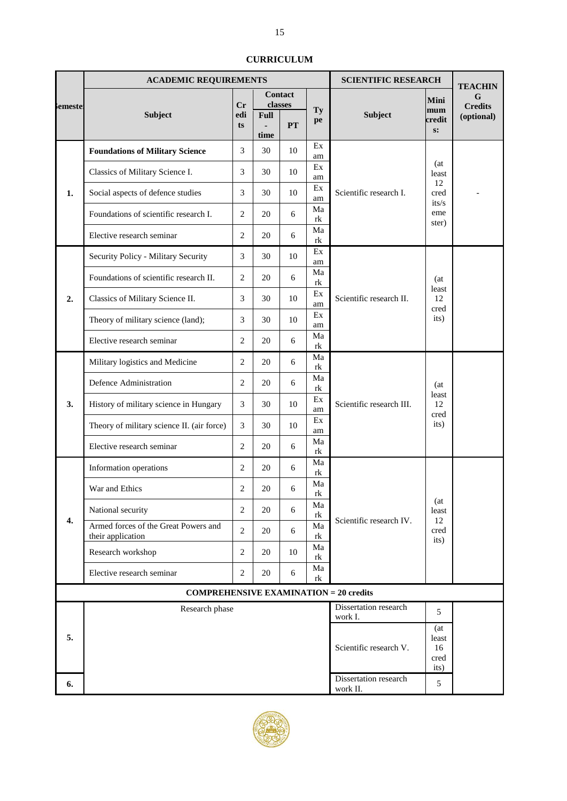|                | <b>ACADEMIC REQUIREMENTS</b>                              |                |             |            | <b>SCIENTIFIC RESEARCH</b> |                                   | <b>TEACHIN</b>                      |                              |
|----------------|-----------------------------------------------------------|----------------|-------------|------------|----------------------------|-----------------------------------|-------------------------------------|------------------------------|
|                |                                                           |                |             | Contact    |                            |                                   | Mini                                | G                            |
| <b>Semeste</b> | Subject                                                   | Cr<br>edi      | <b>Full</b> | classes    | Ty                         | Subject                           | mum<br>credit                       | <b>Credits</b><br>(optional) |
|                |                                                           | ts             | time        | <b>PT</b>  | pe                         |                                   | s:                                  |                              |
|                |                                                           | 3              | 30          | 10         | Ex                         |                                   |                                     |                              |
|                | <b>Foundations of Military Science</b>                    |                |             |            | am                         |                                   | (at                                 |                              |
|                | Classics of Military Science I.                           | 3              | 30          | 10         | Ex<br>am                   |                                   | least<br>12                         |                              |
| 1.             | Social aspects of defence studies                         | 3              | 30          | 10         | Ex<br>am                   | Scientific research I.            | cred<br>its/s                       |                              |
|                | Foundations of scientific research I.                     | $\overline{2}$ | 20          | $\sqrt{6}$ | Ma<br>rk                   |                                   | eme<br>ster)                        |                              |
|                | Elective research seminar                                 | 2              | 20          | 6          | Ma<br>rk                   |                                   |                                     |                              |
|                | Security Policy - Military Security                       | 3              | 30          | 10         | Ex<br>am                   |                                   |                                     |                              |
|                | Foundations of scientific research II.                    | $\overline{2}$ | 20          | 6          | Ma<br>rk                   |                                   | (at                                 |                              |
| 2.             | Classics of Military Science II.                          | 3              | 30          | 10         | Ex<br>am                   | Scientific research II.           | least<br>12<br>cred                 |                              |
|                | Theory of military science (land);                        | 3              | 30          | 10         | Ex<br>am                   |                                   | its)                                |                              |
|                | Elective research seminar                                 | 2              | 20          | 6          | Ma<br>rk                   |                                   |                                     |                              |
|                | Military logistics and Medicine                           | 2              | 20          | 6          | Ma<br>rk                   |                                   |                                     |                              |
|                | Defence Administration                                    | 2              | 20          | 6          | Ma<br>rk                   |                                   | (at<br>least                        |                              |
| 3.             | History of military science in Hungary                    | 3              | 30          | 10         | Ex<br>am                   | Scientific research III.          | 12<br>cred                          |                              |
|                | Theory of military science II. (air force)                | 3              | 30          | 10         | Ex<br>am                   |                                   | its)                                |                              |
|                | Elective research seminar                                 | 2              | 20          | 6          | Ma<br>rk                   |                                   |                                     |                              |
|                | Information operations                                    | 2              | 20          | 6          | Ma<br>rk                   |                                   |                                     |                              |
|                | War and Ethics                                            | 2              | 20          | 6          | Ma<br>rk                   |                                   |                                     |                              |
| 4.             | National security                                         | $\overline{2}$ | 20          | 6          | Ma<br>rk                   | Scientific research IV.           | (at<br>least<br>12                  |                              |
|                | Armed forces of the Great Powers and<br>their application | $\overline{2}$ | 20          | 6          | Ma<br>rk                   |                                   | cred<br>its)                        |                              |
|                | Research workshop                                         | 2              | 20          | 10         | Ma<br>rk                   |                                   |                                     |                              |
|                | Elective research seminar                                 | $\overline{2}$ | 20          | 6          | Ma<br>rk                   |                                   |                                     |                              |
|                | <b>COMPREHENSIVE EXAMINATION = 20 credits</b>             |                |             |            |                            |                                   |                                     |                              |
|                | Research phase                                            |                |             |            |                            | Dissertation research<br>work I.  | 5                                   |                              |
| 5.             |                                                           |                |             |            |                            | Scientific research V.            | (at)<br>least<br>16<br>cred<br>its) |                              |
| 6.             |                                                           |                |             |            |                            | Dissertation research<br>work II. | 5                                   |                              |

#### **CURRICULUM**

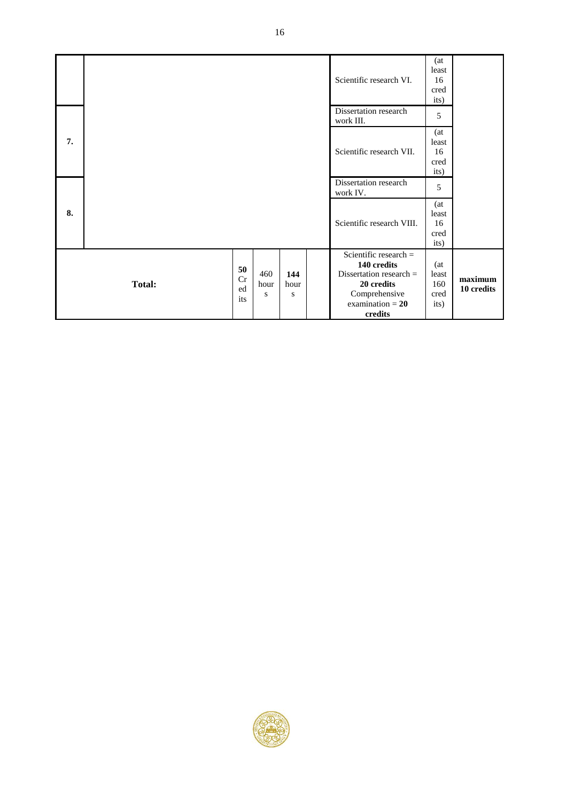|    |               |                       |                  |                  | Scientific research VI.                                                                                                             | (at<br>least<br>16<br>cred<br>its)  |                       |
|----|---------------|-----------------------|------------------|------------------|-------------------------------------------------------------------------------------------------------------------------------------|-------------------------------------|-----------------------|
|    |               |                       |                  |                  | Dissertation research<br>work III.                                                                                                  | 5                                   |                       |
| 7. |               |                       |                  |                  | Scientific research VII.                                                                                                            | (at<br>least<br>16<br>cred<br>its)  |                       |
|    |               |                       |                  |                  | Dissertation research<br>work IV.                                                                                                   | 5                                   |                       |
| 8. |               |                       |                  |                  | Scientific research VIII.                                                                                                           | (at<br>least<br>16<br>cred<br>its)  |                       |
|    | <b>Total:</b> | 50<br>Cr<br>ed<br>its | 460<br>hour<br>S | 144<br>hour<br>S | Scientific research $=$<br>140 credits<br>Dissertation research $=$<br>20 credits<br>Comprehensive<br>examination $= 20$<br>credits | (at<br>least<br>160<br>cred<br>its) | maximum<br>10 credits |

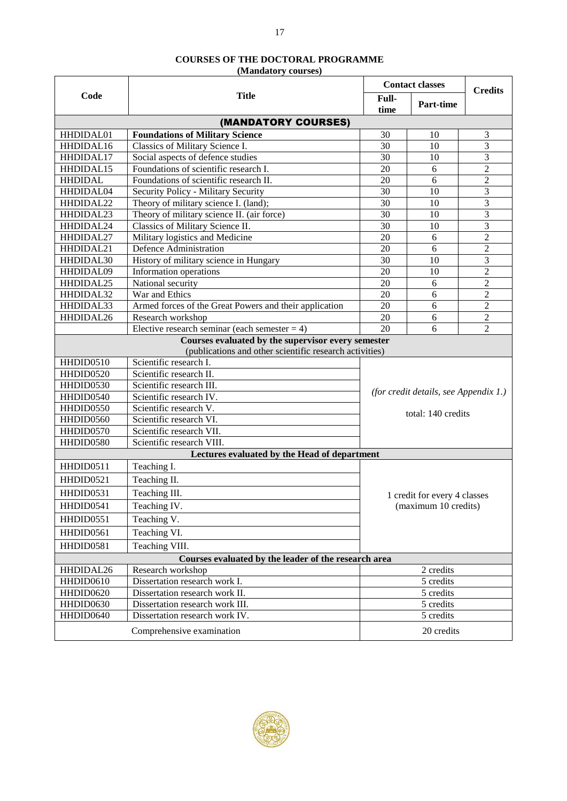### **COURSES OF THE DOCTORAL PROGRAMME**

**(Mandatory courses)**

|                |                                                         |                 | <b>Contact classes</b>                |                |  |
|----------------|---------------------------------------------------------|-----------------|---------------------------------------|----------------|--|
| Code           | <b>Title</b>                                            | Full-<br>time   | <b>Part-time</b>                      | <b>Credits</b> |  |
|                | (MANDATORY COURSES)                                     |                 |                                       |                |  |
| HHDIDAL01      | <b>Foundations of Military Science</b>                  | 30              | 10                                    | 3              |  |
| HHDIDAL16      | Classics of Military Science I.                         | 30              | 10                                    | 3              |  |
| HHDIDAL17      | Social aspects of defence studies                       | $\overline{30}$ | 10                                    | 3              |  |
| HHDIDAL15      | Foundations of scientific research I.                   | 20              | 6                                     | $\overline{2}$ |  |
| <b>HHDIDAL</b> | Foundations of scientific research II.                  | 20              | 6                                     | $\overline{c}$ |  |
| HHDIDAL04      | Security Policy - Military Security                     | 30              | 10                                    | $\mathfrak{Z}$ |  |
| HHDIDAL22      | Theory of military science I. (land);                   | 30              | 10                                    | 3              |  |
| HHDIDAL23      | Theory of military science II. (air force)              | 30              | 10                                    | 3              |  |
| HHDIDAL24      | Classics of Military Science II.                        | 30              | 10                                    | $\mathfrak{Z}$ |  |
| HHDIDAL27      | Military logistics and Medicine                         | 20              | 6                                     | $\overline{2}$ |  |
| HHDIDAL21      | Defence Administration                                  | 20              | 6                                     | $\overline{2}$ |  |
| HHDIDAL30      | History of military science in Hungary                  | 30              | 10                                    | $\mathfrak{Z}$ |  |
| HHDIDAL09      | Information operations                                  | 20              | 10                                    | $\overline{2}$ |  |
| HHDIDAL25      | National security                                       | 20              | 6                                     | $\overline{2}$ |  |
| HHDIDAL32      | War and Ethics                                          | 20              | 6                                     | $\overline{2}$ |  |
| HHDIDAL33      | Armed forces of the Great Powers and their application  | 20              | 6                                     | $\overline{2}$ |  |
| HHDIDAL26      | Research workshop                                       | 20              | 6                                     | $\overline{c}$ |  |
|                | Elective research seminar (each semester $= 4$ )        | 20              | 6                                     | $\overline{2}$ |  |
|                | Courses evaluated by the supervisor every semester      |                 |                                       |                |  |
|                | (publications and other scientific research activities) |                 |                                       |                |  |
| HHDID0510      | Scientific research I.                                  |                 |                                       |                |  |
| HHDID0520      | Scientific research II.                                 |                 |                                       |                |  |
| HHDID0530      | Scientific research III.                                |                 | (for credit details, see Appendix 1.) |                |  |
| HHDID0540      | Scientific research IV.                                 |                 |                                       |                |  |
| HHDID0550      | Scientific research V.                                  |                 | total: 140 credits                    |                |  |
| HHDID0560      | Scientific research VI.                                 |                 |                                       |                |  |
| HHDID0570      | Scientific research VII.                                |                 |                                       |                |  |
| HHDID0580      | Scientific research VIII.                               |                 |                                       |                |  |
|                | Lectures evaluated by the Head of department            |                 |                                       |                |  |
| HHDID0511      | Teaching I.                                             |                 |                                       |                |  |
| HHDID0521      | Teaching II.                                            |                 |                                       |                |  |
| HHDID0531      | Teaching III.                                           |                 | 1 credit for every 4 classes          |                |  |
| HHDID0541      | Teaching IV.                                            |                 | (maximum 10 credits)                  |                |  |
| HHDID0551      | Teaching V.                                             |                 |                                       |                |  |
| HHDID0561      | Teaching VI.                                            |                 |                                       |                |  |
| HHDID0581      | Teaching VIII.                                          |                 |                                       |                |  |
|                | Courses evaluated by the leader of the research area    |                 |                                       |                |  |
| HHDIDAL26      | Research workshop                                       |                 | 2 credits                             |                |  |
| HHDID0610      | Dissertation research work I.                           |                 | 5 credits                             |                |  |
| HHDID0620      | Dissertation research work II.                          |                 | 5 credits                             |                |  |
| HHDID0630      | Dissertation research work III.                         |                 | 5 credits                             |                |  |
| HHDID0640      | Dissertation research work IV.                          |                 | 5 credits                             |                |  |
|                | Comprehensive examination                               |                 | 20 credits                            |                |  |

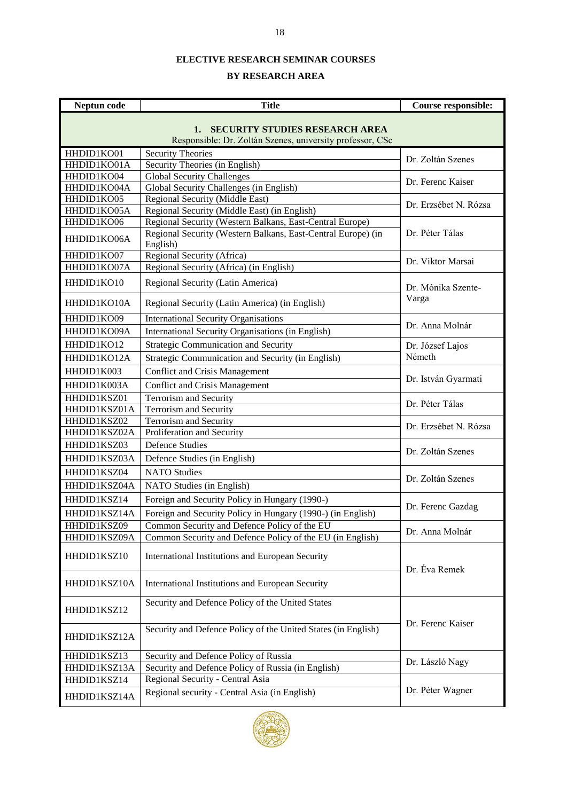#### **ELECTIVE RESEARCH SEMINAR COURSES**

#### **BY RESEARCH AREA**

| Neptun code               | <b>Title</b>                                                                                   | <b>Course responsible:</b> |  |
|---------------------------|------------------------------------------------------------------------------------------------|----------------------------|--|
|                           | 1. SECURITY STUDIES RESEARCH AREA<br>Responsible: Dr. Zoltán Szenes, university professor, CSc |                            |  |
| HHDID1KO01<br>HHDID1KO01A | <b>Security Theories</b><br>Security Theories (in English)                                     | Dr. Zoltán Szenes          |  |
| HHDID1KO04<br>HHDID1KO04A | <b>Global Security Challenges</b><br>Global Security Challenges (in English)                   | Dr. Ferenc Kaiser          |  |
| HHDID1KO05<br>HHDID1KO05A | Regional Security (Middle East)<br>Regional Security (Middle East) (in English)                | Dr. Erzsébet N. Rózsa      |  |
| HHDID1KO06                | Regional Security (Western Balkans, East-Central Europe)                                       |                            |  |
| HHDID1KO06A               | Regional Security (Western Balkans, East-Central Europe) (in<br>English)                       | Dr. Péter Tálas            |  |
| HHDID1KO07                | Regional Security (Africa)                                                                     | Dr. Viktor Marsai          |  |
| HHDID1KO07A               | Regional Security (Africa) (in English)                                                        |                            |  |
| HHDID1KO10                | Regional Security (Latin America)                                                              | Dr. Mónika Szente-         |  |
| HHDID1KO10A               | Regional Security (Latin America) (in English)                                                 | Varga                      |  |
| HHDID1KO09                | <b>International Security Organisations</b>                                                    | Dr. Anna Molnár            |  |
| HHDID1KO09A               | International Security Organisations (in English)                                              |                            |  |
| HHDID1KO12                | <b>Strategic Communication and Security</b>                                                    | Dr. József Lajos           |  |
| HHDID1KO12A               | Strategic Communication and Security (in English)                                              | Németh                     |  |
| HHDID1K003                | <b>Conflict and Crisis Management</b>                                                          |                            |  |
| HHDID1K003A               | <b>Conflict and Crisis Management</b>                                                          | Dr. István Gyarmati        |  |
| HHDID1KSZ01               | <b>Terrorism and Security</b>                                                                  | Dr. Péter Tálas            |  |
| HHDID1KSZ01A              | <b>Terrorism and Security</b>                                                                  |                            |  |
| HHDID1KSZ02               | Terrorism and Security                                                                         | Dr. Erzsébet N. Rózsa      |  |
| HHDID1KSZ02A              | Proliferation and Security                                                                     |                            |  |
| HHDID1KSZ03               | <b>Defence Studies</b>                                                                         | Dr. Zoltán Szenes          |  |
| HHDID1KSZ03A              | Defence Studies (in English)                                                                   |                            |  |
| HHDID1KSZ04               | <b>NATO Studies</b>                                                                            | Dr. Zoltán Szenes          |  |
| HHDID1KSZ04A              | NATO Studies (in English)                                                                      |                            |  |
| HHDID1KSZ14               | Foreign and Security Policy in Hungary (1990-)                                                 | Dr. Ferenc Gazdag          |  |
| HHDID1KSZ14A              | Foreign and Security Policy in Hungary (1990-) (in English)                                    |                            |  |
| HHDID1KSZ09               | Common Security and Defence Policy of the EU                                                   | Dr. Anna Molnár            |  |
| HHDID1KSZ09A              | Common Security and Defence Policy of the EU (in English)                                      |                            |  |
| HHDID1KSZ10               | International Institutions and European Security                                               | Dr. Éva Remek              |  |
| HHDID1KSZ10A              | International Institutions and European Security                                               |                            |  |
| HHDID1KSZ12               | Security and Defence Policy of the United States                                               |                            |  |
| HHDID1KSZ12A              | Security and Defence Policy of the United States (in English)                                  | Dr. Ferenc Kaiser          |  |
| HHDID1KSZ13               | Security and Defence Policy of Russia                                                          | Dr. László Nagy            |  |
| HHDID1KSZ13A              | Security and Defence Policy of Russia (in English)                                             |                            |  |
| HHDID1KSZ14               | Regional Security - Central Asia                                                               |                            |  |
| HHDID1KSZ14A              | Regional security - Central Asia (in English)                                                  | Dr. Péter Wagner           |  |

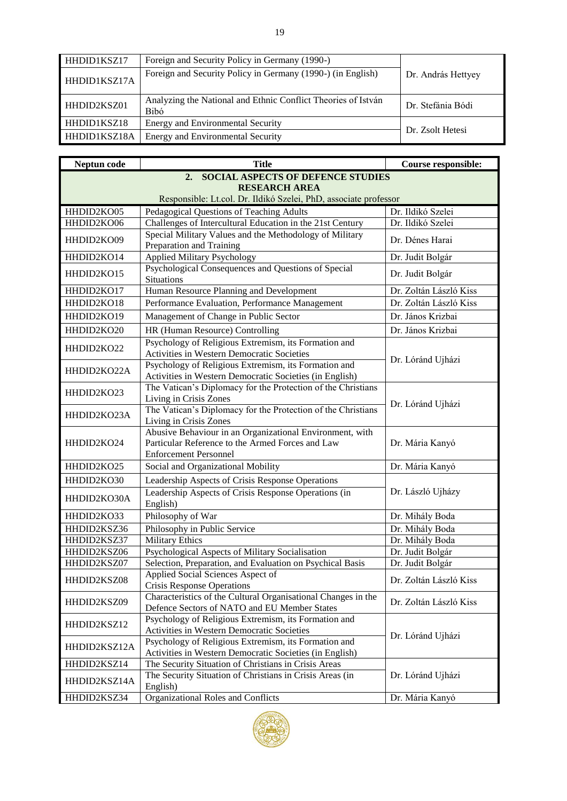| HHDID1KSZ17                                              | Foreign and Security Policy in Germany (1990-)                               |                    |
|----------------------------------------------------------|------------------------------------------------------------------------------|--------------------|
| HHDID1KSZ17A                                             | Foreign and Security Policy in Germany (1990-) (in English)                  | Dr. András Hettyey |
| HHDID2KSZ01                                              | Analyzing the National and Ethnic Conflict Theories of István<br><b>Bibó</b> | Dr. Stefánia Bódi  |
| HHDID1KSZ18                                              | Energy and Environmental Security                                            |                    |
| HHDID1KSZ18A<br><b>Energy and Environmental Security</b> |                                                                              | Dr. Zsolt Hetesi   |

| Neptun code          | <b>Title</b>                                                                                                  | <b>Course responsible:</b> |  |  |  |
|----------------------|---------------------------------------------------------------------------------------------------------------|----------------------------|--|--|--|
|                      | 2.<br><b>SOCIAL ASPECTS OF DEFENCE STUDIES</b>                                                                |                            |  |  |  |
| <b>RESEARCH AREA</b> |                                                                                                               |                            |  |  |  |
|                      | Responsible: Lt.col. Dr. Ildikó Szelei, PhD, associate professor                                              |                            |  |  |  |
| HHDID2KO05           | Pedagogical Questions of Teaching Adults                                                                      | Dr. Ildikó Szelei          |  |  |  |
| HHDID2KO06           | Challenges of Intercultural Education in the 21st Century                                                     | Dr. Ildikó Szelei          |  |  |  |
| HHDID2KO09           | Special Military Values and the Methodology of Military                                                       | Dr. Dénes Harai            |  |  |  |
|                      | Preparation and Training                                                                                      |                            |  |  |  |
| HHDID2KO14           | <b>Applied Military Psychology</b>                                                                            | Dr. Judit Bolgár           |  |  |  |
| HHDID2KO15           | Psychological Consequences and Questions of Special                                                           | Dr. Judit Bolgár           |  |  |  |
|                      | <b>Situations</b>                                                                                             |                            |  |  |  |
| HHDID2KO17           | Human Resource Planning and Development                                                                       | Dr. Zoltán László Kiss     |  |  |  |
| HHDID2KO18           | Performance Evaluation, Performance Management                                                                | Dr. Zoltán László Kiss     |  |  |  |
| HHDID2KO19           | Management of Change in Public Sector                                                                         | Dr. János Krizbai          |  |  |  |
| HHDID2KO20           | HR (Human Resource) Controlling                                                                               | Dr. János Krizbai          |  |  |  |
| HHDID2KO22           | Psychology of Religious Extremism, its Formation and                                                          |                            |  |  |  |
|                      | <b>Activities in Western Democratic Societies</b>                                                             | Dr. Lóránd Ujházi          |  |  |  |
| HHDID2KO22A          | Psychology of Religious Extremism, its Formation and                                                          |                            |  |  |  |
|                      | Activities in Western Democratic Societies (in English)                                                       |                            |  |  |  |
| HHDID2KO23           | The Vatican's Diplomacy for the Protection of the Christians                                                  |                            |  |  |  |
|                      | Living in Crisis Zones                                                                                        | Dr. Lóránd Ujházi          |  |  |  |
| HHDID2KO23A          | The Vatican's Diplomacy for the Protection of the Christians                                                  |                            |  |  |  |
|                      | Living in Crisis Zones                                                                                        |                            |  |  |  |
|                      | Abusive Behaviour in an Organizational Environment, with                                                      |                            |  |  |  |
| HHDID2KO24           | Particular Reference to the Armed Forces and Law<br><b>Enforcement Personnel</b>                              | Dr. Mária Kanyó            |  |  |  |
| HHDID2KO25           | Social and Organizational Mobility                                                                            | Dr. Mária Kanyó            |  |  |  |
|                      |                                                                                                               |                            |  |  |  |
| HHDID2KO30           | Leadership Aspects of Crisis Response Operations                                                              |                            |  |  |  |
| HHDID2KO30A          | Leadership Aspects of Crisis Response Operations (in                                                          | Dr. László Ujházy          |  |  |  |
|                      | English)                                                                                                      |                            |  |  |  |
| HHDID2KO33           | Philosophy of War                                                                                             | Dr. Mihály Boda            |  |  |  |
| HHDID2KSZ36          | Philosophy in Public Service                                                                                  | Dr. Mihály Boda            |  |  |  |
| HHDID2KSZ37          | <b>Military Ethics</b>                                                                                        | Dr. Mihály Boda            |  |  |  |
| HHDID2KSZ06          | Psychological Aspects of Military Socialisation                                                               | Dr. Judit Bolgár           |  |  |  |
| HHDID2KSZ07          | Selection, Preparation, and Evaluation on Psychical Basis                                                     | Dr. Judit Bolgár           |  |  |  |
| HHDID2KSZ08          | Applied Social Sciences Aspect of                                                                             | Dr. Zoltán László Kiss     |  |  |  |
|                      | <b>Crisis Response Operations</b>                                                                             |                            |  |  |  |
| HHDID2KSZ09          | Characteristics of the Cultural Organisational Changes in the<br>Defence Sectors of NATO and EU Member States | Dr. Zoltán László Kiss     |  |  |  |
|                      | Psychology of Religious Extremism, its Formation and                                                          |                            |  |  |  |
| HHDID2KSZ12          | Activities in Western Democratic Societies                                                                    |                            |  |  |  |
|                      | Psychology of Religious Extremism, its Formation and                                                          | Dr. Lóránd Ujházi          |  |  |  |
| HHDID2KSZ12A         | Activities in Western Democratic Societies (in English)                                                       |                            |  |  |  |
| HHDID2KSZ14          | The Security Situation of Christians in Crisis Areas                                                          |                            |  |  |  |
|                      | The Security Situation of Christians in Crisis Areas (in                                                      | Dr. Lóránd Ujházi          |  |  |  |
| HHDID2KSZ14A         | English)                                                                                                      |                            |  |  |  |
| HHDID2KSZ34          | Organizational Roles and Conflicts                                                                            | Dr. Mária Kanyó            |  |  |  |

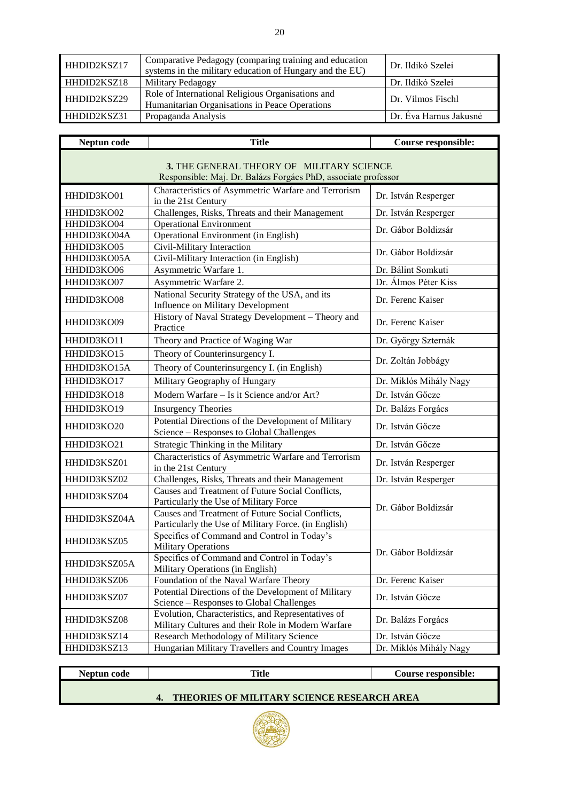| HHDID2KSZ17        | Comparative Pedagogy (comparing training and education<br>systems in the military education of Hungary and the EU) | Dr. Ildikó Szelei      |
|--------------------|--------------------------------------------------------------------------------------------------------------------|------------------------|
| HHDID2KSZ18        | Military Pedagogy                                                                                                  | Dr. Ildikó Szelei      |
| HHDID2KSZ29        | Role of International Religious Organisations and<br>Humanitarian Organisations in Peace Operations                | Dr. Vilmos Fischl      |
| <b>HHDID2KSZ31</b> | Propaganda Analysis                                                                                                | Dr. Eva Harnus Jakusné |

| Neptun code  | <b>Title</b>                                                                                               | Course responsible:    |
|--------------|------------------------------------------------------------------------------------------------------------|------------------------|
|              | 3. THE GENERAL THEORY OF MILITARY SCIENCE<br>Responsible: Maj. Dr. Balázs Forgács PhD, associate professor |                        |
| HHDID3KO01   | Characteristics of Asymmetric Warfare and Terrorism<br>in the 21st Century                                 | Dr. István Resperger   |
| HHDID3KO02   | Challenges, Risks, Threats and their Management                                                            | Dr. István Resperger   |
| HHDID3KO04   | <b>Operational Environment</b>                                                                             | Dr. Gábor Boldizsár    |
| HHDID3KO04A  | Operational Environment (in English)                                                                       |                        |
| HHDID3KO05   | Civil-Military Interaction                                                                                 | Dr. Gábor Boldizsár    |
| HHDID3KO05A  | Civil-Military Interaction (in English)                                                                    |                        |
| HHDID3KO06   | Asymmetric Warfare 1.                                                                                      | Dr. Bálint Somkuti     |
| HHDID3KO07   | Asymmetric Warfare 2.                                                                                      | Dr. Álmos Péter Kiss   |
| HHDID3KO08   | National Security Strategy of the USA, and its<br>Influence on Military Development                        | Dr. Ferenc Kaiser      |
| HHDID3KO09   | History of Naval Strategy Development - Theory and<br>Practice                                             | Dr. Ferenc Kaiser      |
| HHDID3KO11   | Theory and Practice of Waging War                                                                          | Dr. György Szternák    |
| HHDID3KO15   | Theory of Counterinsurgency I.                                                                             | Dr. Zoltán Jobbágy     |
| HHDID3KO15A  | Theory of Counterinsurgency I. (in English)                                                                |                        |
| HHDID3KO17   | Military Geography of Hungary                                                                              | Dr. Miklós Mihály Nagy |
| HHDID3KO18   | Modern Warfare - Is it Science and/or Art?                                                                 | Dr. István Gőcze       |
| HHDID3KO19   | <b>Insurgency Theories</b>                                                                                 | Dr. Balázs Forgács     |
| HHDID3KO20   | Potential Directions of the Development of Military<br>Science - Responses to Global Challenges            | Dr. István Gőcze       |
| HHDID3KO21   | Strategic Thinking in the Military                                                                         | Dr. István Gőcze       |
| HHDID3KSZ01  | Characteristics of Asymmetric Warfare and Terrorism<br>in the 21st Century                                 | Dr. István Resperger   |
| HHDID3KSZ02  | Challenges, Risks, Threats and their Management                                                            | Dr. István Resperger   |
| HHDID3KSZ04  | Causes and Treatment of Future Social Conflicts,<br>Particularly the Use of Military Force                 | Dr. Gábor Boldizsár    |
| HHDID3KSZ04A | Causes and Treatment of Future Social Conflicts,<br>Particularly the Use of Military Force. (in English)   |                        |
| HHDID3KSZ05  | Specifics of Command and Control in Today's<br><b>Military Operations</b>                                  | Dr. Gábor Boldizsár    |
| HHDID3KSZ05A | Specifics of Command and Control in Today's<br>Military Operations (in English)                            |                        |
| HHDID3KSZ06  | Foundation of the Naval Warfare Theory                                                                     | Dr. Ferenc Kaiser      |
| HHDID3KSZ07  | Potential Directions of the Development of Military<br>Science - Responses to Global Challenges            | Dr. István Gőcze       |
| HHDID3KSZ08  | Evolution, Characteristics, and Representatives of<br>Military Cultures and their Role in Modern Warfare   | Dr. Balázs Forgács     |
| HHDID3KSZ14  | Research Methodology of Military Science                                                                   | Dr. István Gőcze       |
| HHDID3KSZ13  | Hungarian Military Travellers and Country Images                                                           | Dr. Miklós Mihály Nagy |

# **Neptun code Title Course responsible:**

## **4. THEORIES OF MILITARY SCIENCE RESEARCH AREA**

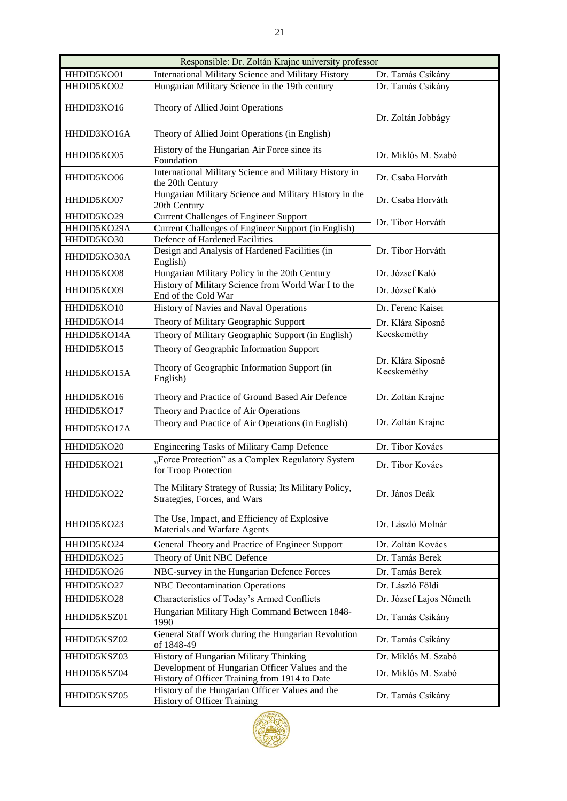| Responsible: Dr. Zoltán Krajnc university professor |                                                                                                  |                                  |  |  |
|-----------------------------------------------------|--------------------------------------------------------------------------------------------------|----------------------------------|--|--|
| HHDID5KO01                                          | <b>International Military Science and Military History</b>                                       | Dr. Tamás Csikány                |  |  |
| HHDID5KO02                                          | Hungarian Military Science in the 19th century                                                   | Dr. Tamás Csikány                |  |  |
| HHDID3KO16                                          | Theory of Allied Joint Operations                                                                | Dr. Zoltán Jobbágy               |  |  |
| HHDID3KO16A                                         | Theory of Allied Joint Operations (in English)                                                   |                                  |  |  |
| HHDID5KO05                                          | History of the Hungarian Air Force since its<br>Foundation                                       | Dr. Miklós M. Szabó              |  |  |
| HHDID5KO06                                          | International Military Science and Military History in<br>the 20th Century                       | Dr. Csaba Horváth                |  |  |
| HHDID5KO07                                          | Hungarian Military Science and Military History in the<br>20th Century                           | Dr. Csaba Horváth                |  |  |
| HHDID5KO29                                          | <b>Current Challenges of Engineer Support</b>                                                    | Dr. Tibor Horváth                |  |  |
| HHDID5KO29A                                         | Current Challenges of Engineer Support (in English)                                              |                                  |  |  |
| HHDID5KO30<br>HHDID5KO30A                           | Defence of Hardened Facilities<br>Design and Analysis of Hardened Facilities (in<br>English)     | Dr. Tibor Horváth                |  |  |
| HHDID5KO08                                          | Hungarian Military Policy in the 20th Century                                                    | Dr. József Kaló                  |  |  |
| HHDID5KO09                                          | History of Military Science from World War I to the<br>End of the Cold War                       | Dr. József Kaló                  |  |  |
| HHDID5KO10                                          | History of Navies and Naval Operations                                                           | Dr. Ferenc Kaiser                |  |  |
| HHDID5KO14                                          | Theory of Military Geographic Support                                                            | Dr. Klára Siposné                |  |  |
| HHDID5KO14A                                         | Theory of Military Geographic Support (in English)                                               | Kecskeméthy                      |  |  |
| HHDID5KO15                                          | Theory of Geographic Information Support                                                         |                                  |  |  |
| HHDID5KO15A                                         | Theory of Geographic Information Support (in<br>English)                                         | Dr. Klára Siposné<br>Kecskeméthy |  |  |
| HHDID5KO16                                          | Theory and Practice of Ground Based Air Defence                                                  | Dr. Zoltán Krajnc                |  |  |
| HHDID5KO17                                          | Theory and Practice of Air Operations                                                            |                                  |  |  |
| HHDID5KO17A                                         | Theory and Practice of Air Operations (in English)                                               | Dr. Zoltán Krajnc                |  |  |
| HHDID5KO20                                          | Engineering Tasks of Military Camp Defence                                                       | Dr. Tibor Kovács                 |  |  |
| HHDID5KO21                                          | "Force Protection" as a Complex Regulatory System<br>for Troop Protection                        | Dr. Tibor Kovács                 |  |  |
| HHDID5KO22                                          | The Military Strategy of Russia; Its Military Policy,<br>Strategies, Forces, and Wars            | Dr. János Deák                   |  |  |
| HHDID5KO23                                          | The Use, Impact, and Efficiency of Explosive<br>Materials and Warfare Agents                     | Dr. László Molnár                |  |  |
| HHDID5KO24                                          | General Theory and Practice of Engineer Support                                                  | Dr. Zoltán Kovács                |  |  |
| HHDID5KO25                                          | Theory of Unit NBC Defence                                                                       | Dr. Tamás Berek                  |  |  |
| HHDID5KO26                                          | NBC-survey in the Hungarian Defence Forces                                                       | Dr. Tamás Berek                  |  |  |
| HHDID5KO27                                          | <b>NBC</b> Decontamination Operations                                                            | Dr. László Földi                 |  |  |
| HHDID5KO28                                          | Characteristics of Today's Armed Conflicts                                                       | Dr. József Lajos Németh          |  |  |
| HHDID5KSZ01                                         | Hungarian Military High Command Between 1848-<br>1990                                            | Dr. Tamás Csikány                |  |  |
| HHDID5KSZ02                                         | General Staff Work during the Hungarian Revolution<br>of 1848-49                                 | Dr. Tamás Csikány                |  |  |
| HHDID5KSZ03                                         | History of Hungarian Military Thinking                                                           | Dr. Miklós M. Szabó              |  |  |
| HHDID5KSZ04                                         | Development of Hungarian Officer Values and the<br>History of Officer Training from 1914 to Date | Dr. Miklós M. Szabó              |  |  |
| HHDID5KSZ05                                         | History of the Hungarian Officer Values and the<br>History of Officer Training                   | Dr. Tamás Csikány                |  |  |



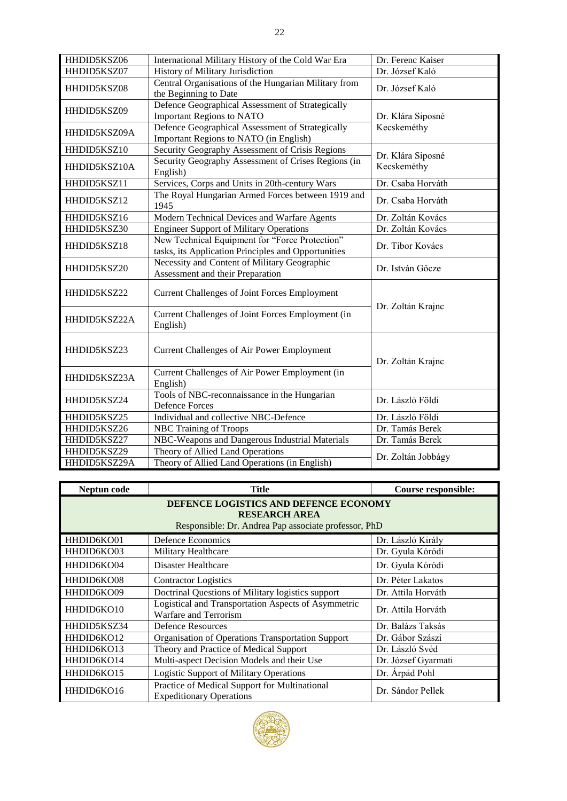| HHDID5KSZ06                 | International Military History of the Cold War Era                                                    | Dr. Ferenc Kaiser  |  |
|-----------------------------|-------------------------------------------------------------------------------------------------------|--------------------|--|
| HHDID5KSZ07                 | History of Military Jurisdiction                                                                      | Dr. József Kaló    |  |
| HHDID5KSZ08                 | Central Organisations of the Hungarian Military from<br>the Beginning to Date                         | Dr. József Kaló    |  |
| HHDID5KSZ09                 | Defence Geographical Assessment of Strategically<br><b>Important Regions to NATO</b>                  | Dr. Klára Siposné  |  |
| HHDID5KSZ09A                | Defence Geographical Assessment of Strategically<br>Important Regions to NATO (in English)            | Kecskeméthy        |  |
| HHDID5KSZ10                 | Security Geography Assessment of Crisis Regions                                                       | Dr. Klára Siposné  |  |
| HHDID5KSZ10A                | Security Geography Assessment of Crises Regions (in<br>English)                                       | Kecskeméthy        |  |
| HHDID5KSZ11                 | Services, Corps and Units in 20th-century Wars                                                        | Dr. Csaba Horváth  |  |
| HHDID5KSZ12                 | The Royal Hungarian Armed Forces between 1919 and<br>1945                                             | Dr. Csaba Horváth  |  |
| HHDID5KSZ16                 | Modern Technical Devices and Warfare Agents                                                           | Dr. Zoltán Kovács  |  |
| HHDID5KSZ30                 | <b>Engineer Support of Military Operations</b>                                                        | Dr. Zoltán Kovács  |  |
| HHDID5KSZ18                 | New Technical Equipment for "Force Protection"<br>tasks, its Application Principles and Opportunities | Dr. Tibor Kovács   |  |
| HHDID5KSZ20                 | Necessity and Content of Military Geographic<br>Assessment and their Preparation                      | Dr. István Gőcze   |  |
| HHDID5KSZ22                 | <b>Current Challenges of Joint Forces Employment</b>                                                  |                    |  |
| HHDID5KSZ22A                | Current Challenges of Joint Forces Employment (in<br>English)                                         | Dr. Zoltán Krajnc  |  |
| HHDID5KSZ23                 | Current Challenges of Air Power Employment                                                            | Dr. Zoltán Krajnc  |  |
| HHDID5KSZ23A                | Current Challenges of Air Power Employment (in<br>English)                                            |                    |  |
| HHDID5KSZ24                 | Tools of NBC-reconnaissance in the Hungarian<br><b>Defence Forces</b>                                 | Dr. László Földi   |  |
| HHDID5KSZ25                 | Individual and collective NBC-Defence                                                                 | Dr. László Földi   |  |
| HHDID5KSZ26                 | <b>NBC Training of Troops</b>                                                                         | Dr. Tamás Berek    |  |
| HHDID5KSZ27                 | NBC-Weapons and Dangerous Industrial Materials                                                        | Dr. Tamás Berek    |  |
| HHDID5KSZ29<br>HHDID5KSZ29A | Theory of Allied Land Operations<br>Theory of Allied Land Operations (in English)                     | Dr. Zoltán Jobbágy |  |

| Neptun code                                                                                                           | <b>Title</b>                                                                     | <b>Course responsible:</b> |
|-----------------------------------------------------------------------------------------------------------------------|----------------------------------------------------------------------------------|----------------------------|
| DEFENCE LOGISTICS AND DEFENCE ECONOMY<br><b>RESEARCH AREA</b><br>Responsible: Dr. Andrea Pap associate professor, PhD |                                                                                  |                            |
| HHDID6KO01                                                                                                            | Defence Economics                                                                | Dr. László Király          |
| HHDID6KO03                                                                                                            | Military Healthcare                                                              | Dr. Gyula Kóródi           |
| HHDID6KO04                                                                                                            | Disaster Healthcare                                                              | Dr. Gyula Kóródi           |
| HHDID6KO08                                                                                                            | <b>Contractor Logistics</b>                                                      | Dr. Péter Lakatos          |
| HHDID6KO09                                                                                                            | Doctrinal Questions of Military logistics support                                | Dr. Attila Horváth         |
| HHDID6KO10                                                                                                            | Logistical and Transportation Aspects of Asymmetric<br>Warfare and Terrorism     | Dr. Attila Horváth         |
| HHDID5KSZ34                                                                                                           | <b>Defence Resources</b>                                                         | Dr. Balázs Taksás          |
| HHDID6KO12                                                                                                            | Organisation of Operations Transportation Support                                | Dr. Gábor Szászi           |
| HHDID6KO13                                                                                                            | Theory and Practice of Medical Support                                           | Dr. László Svéd            |
| HHDID6KO14                                                                                                            | Multi-aspect Decision Models and their Use                                       | Dr. József Gyarmati        |
| HHDID6KO15                                                                                                            | <b>Logistic Support of Military Operations</b>                                   | Dr. Árpád Pohl             |
| HHDID6KO16                                                                                                            | Practice of Medical Support for Multinational<br><b>Expeditionary Operations</b> | Dr. Sándor Pellek          |

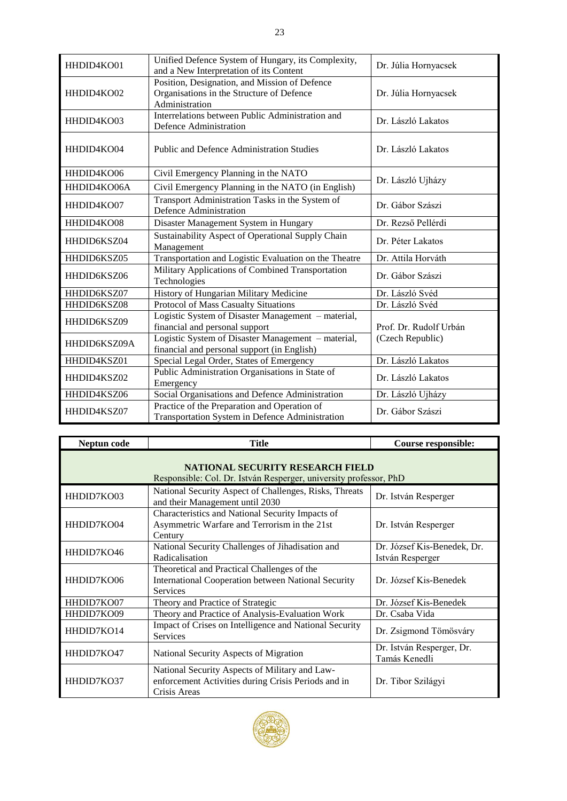| HHDID4KO01   | Unified Defence System of Hungary, its Complexity,<br>and a New Interpretation of its Content                | Dr. Júlia Hornyacsek   |  |
|--------------|--------------------------------------------------------------------------------------------------------------|------------------------|--|
| HHDID4KO02   | Position, Designation, and Mission of Defence<br>Organisations in the Structure of Defence<br>Administration | Dr. Júlia Hornyacsek   |  |
| HHDID4KO03   | Interrelations between Public Administration and<br>Defence Administration                                   | Dr. László Lakatos     |  |
| HHDID4KO04   | <b>Public and Defence Administration Studies</b>                                                             | Dr. László Lakatos     |  |
| HHDID4KO06   | Civil Emergency Planning in the NATO                                                                         |                        |  |
| HHDID4KO06A  | Civil Emergency Planning in the NATO (in English)                                                            | Dr. László Ujházy      |  |
| HHDID4KO07   | Transport Administration Tasks in the System of<br>Defence Administration                                    | Dr. Gábor Szászi       |  |
| HHDID4KO08   | Disaster Management System in Hungary                                                                        | Dr. Rezső Pellérdi     |  |
| HHDID6KSZ04  | Sustainability Aspect of Operational Supply Chain<br>Management                                              | Dr. Péter Lakatos      |  |
| HHDID6KSZ05  | Transportation and Logistic Evaluation on the Theatre                                                        | Dr. Attila Horváth     |  |
| HHDID6KSZ06  | Military Applications of Combined Transportation<br>Technologies                                             | Dr. Gábor Szászi       |  |
| HHDID6KSZ07  | History of Hungarian Military Medicine                                                                       | Dr. László Svéd        |  |
| HHDID6KSZ08  | Protocol of Mass Casualty Situations                                                                         | Dr. László Svéd        |  |
| HHDID6KSZ09  | Logistic System of Disaster Management - material,<br>financial and personal support                         | Prof. Dr. Rudolf Urbán |  |
| HHDID6KSZ09A | Logistic System of Disaster Management - material,<br>financial and personal support (in English)            | (Czech Republic)       |  |
| HHDID4KSZ01  | Special Legal Order, States of Emergency                                                                     | Dr. László Lakatos     |  |
| HHDID4KSZ02  | Public Administration Organisations in State of<br>Emergency                                                 | Dr. László Lakatos     |  |
| HHDID4KSZ06  | Social Organisations and Defence Administration                                                              | Dr. László Ujházy      |  |
| HHDID4KSZ07  | Practice of the Preparation and Operation of<br>Transportation System in Defence Administration              | Dr. Gábor Szászi       |  |

| Neptun code                                                                                           | <b>Title</b>                                                                                                                 | Course responsible:                             |  |
|-------------------------------------------------------------------------------------------------------|------------------------------------------------------------------------------------------------------------------------------|-------------------------------------------------|--|
| NATIONAL SECURITY RESEARCH FIELD<br>Responsible: Col. Dr. István Resperger, university professor, PhD |                                                                                                                              |                                                 |  |
| HHDID7KO03                                                                                            | National Security Aspect of Challenges, Risks, Threats<br>and their Management until 2030                                    | Dr. István Resperger                            |  |
| HHDID7KO04                                                                                            | Characteristics and National Security Impacts of<br>Asymmetric Warfare and Terrorism in the 21st<br>Century                  | Dr. István Resperger                            |  |
| HHDID7KO46                                                                                            | National Security Challenges of Jihadisation and<br>Radicalisation                                                           | Dr. József Kis-Benedek, Dr.<br>István Resperger |  |
| HHDID7KO06                                                                                            | Theoretical and Practical Challenges of the<br><b>International Cooperation between National Security</b><br><b>Services</b> | Dr. József Kis-Benedek                          |  |
| HHDID7KO07                                                                                            | Theory and Practice of Strategic                                                                                             | Dr. József Kis-Benedek                          |  |
| HHDID7KO09                                                                                            | Theory and Practice of Analysis-Evaluation Work                                                                              | Dr. Csaba Vida                                  |  |
| HHDID7KO14                                                                                            | Impact of Crises on Intelligence and National Security<br><b>Services</b>                                                    | Dr. Zsigmond Tömösváry                          |  |
| HHDID7KO47                                                                                            | National Security Aspects of Migration                                                                                       | Dr. István Resperger, Dr.<br>Tamás Kenedli      |  |
| HHDID7KO37                                                                                            | National Security Aspects of Military and Law-<br>enforcement Activities during Crisis Periods and in<br>Crisis Areas        | Dr. Tibor Szilágyi                              |  |

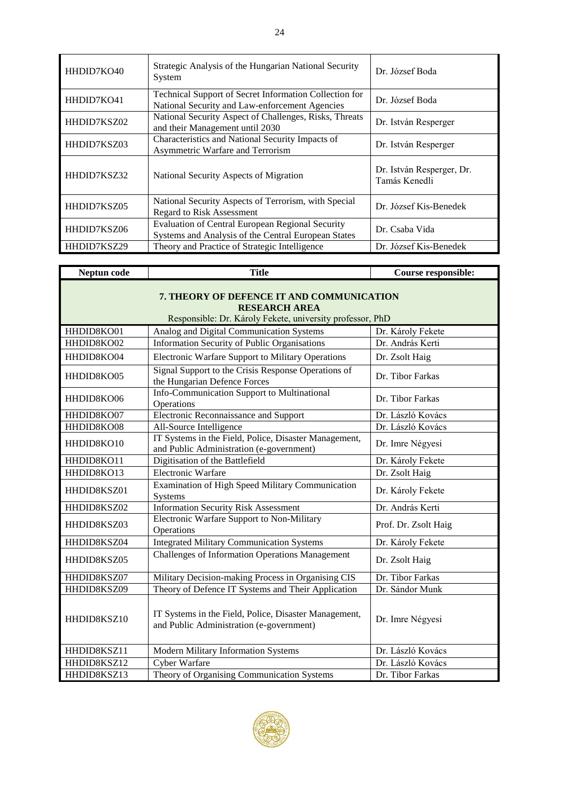| HHDID7KO40  | Strategic Analysis of the Hungarian National Security<br>System                                                 | Dr. József Boda                            |
|-------------|-----------------------------------------------------------------------------------------------------------------|--------------------------------------------|
| HHDID7KO41  | <b>Technical Support of Secret Information Collection for</b><br>National Security and Law-enforcement Agencies | Dr. József Boda                            |
| HHDID7KSZ02 | National Security Aspect of Challenges, Risks, Threats<br>and their Management until 2030                       | Dr. István Resperger                       |
| HHDID7KSZ03 | Characteristics and National Security Impacts of<br>Asymmetric Warfare and Terrorism                            | Dr. István Resperger                       |
| HHDID7KSZ32 | National Security Aspects of Migration                                                                          | Dr. István Resperger, Dr.<br>Tamás Kenedli |
| HHDID7KSZ05 | National Security Aspects of Terrorism, with Special<br><b>Regard to Risk Assessment</b>                        | Dr. József Kis-Benedek                     |
| HHDID7KSZ06 | Evaluation of Central European Regional Security<br>Systems and Analysis of the Central European States         | Dr. Csaba Vida                             |
| HHDID7KSZ29 | Theory and Practice of Strategic Intelligence                                                                   | Dr. József Kis-Benedek                     |

| Neptun code                                                                                                                    | <b>Title</b>                                                                                      | Course responsible:  |  |
|--------------------------------------------------------------------------------------------------------------------------------|---------------------------------------------------------------------------------------------------|----------------------|--|
| 7. THEORY OF DEFENCE IT AND COMMUNICATION<br><b>RESEARCH AREA</b><br>Responsible: Dr. Károly Fekete, university professor, PhD |                                                                                                   |                      |  |
| HHDID8KO01                                                                                                                     | Analog and Digital Communication Systems                                                          | Dr. Károly Fekete    |  |
| HHDID8KO02                                                                                                                     | Information Security of Public Organisations                                                      | Dr. András Kerti     |  |
| HHDID8KO04                                                                                                                     | <b>Electronic Warfare Support to Military Operations</b>                                          | Dr. Zsolt Haig       |  |
| HHDID8KO05                                                                                                                     | Signal Support to the Crisis Response Operations of<br>the Hungarian Defence Forces               | Dr. Tibor Farkas     |  |
| HHDID8KO06                                                                                                                     | Info-Communication Support to Multinational<br>Operations                                         | Dr. Tibor Farkas     |  |
| HHDID8KO07                                                                                                                     | Electronic Reconnaissance and Support                                                             | Dr. László Kovács    |  |
| HHDID8KO08                                                                                                                     | All-Source Intelligence                                                                           | Dr. László Kovács    |  |
| HHDID8KO10                                                                                                                     | IT Systems in the Field, Police, Disaster Management,<br>and Public Administration (e-government) | Dr. Imre Négyesi     |  |
| HHDID8KO11                                                                                                                     | Digitisation of the Battlefield                                                                   | Dr. Károly Fekete    |  |
| HHDID8KO13                                                                                                                     | Electronic Warfare                                                                                | Dr. Zsolt Haig       |  |
| HHDID8KSZ01                                                                                                                    | Examination of High Speed Military Communication<br>Systems                                       | Dr. Károly Fekete    |  |
| HHDID8KSZ02                                                                                                                    | <b>Information Security Risk Assessment</b>                                                       | Dr. András Kerti     |  |
| HHDID8KSZ03                                                                                                                    | Electronic Warfare Support to Non-Military<br>Operations                                          | Prof. Dr. Zsolt Haig |  |
| HHDID8KSZ04                                                                                                                    | <b>Integrated Military Communication Systems</b>                                                  | Dr. Károly Fekete    |  |
| HHDID8KSZ05                                                                                                                    | Challenges of Information Operations Management                                                   | Dr. Zsolt Haig       |  |
| HHDID8KSZ07                                                                                                                    | Military Decision-making Process in Organising CIS                                                | Dr. Tibor Farkas     |  |
| HHDID8KSZ09                                                                                                                    | Theory of Defence IT Systems and Their Application                                                | Dr. Sándor Munk      |  |
| HHDID8KSZ10                                                                                                                    | IT Systems in the Field, Police, Disaster Management,<br>and Public Administration (e-government) | Dr. Imre Négyesi     |  |
| HHDID8KSZ11                                                                                                                    | Modern Military Information Systems                                                               | Dr. László Kovács    |  |
| HHDID8KSZ12                                                                                                                    | Cyber Warfare                                                                                     | Dr. László Kovács    |  |
| HHDID8KSZ13                                                                                                                    | Theory of Organising Communication Systems                                                        | Dr. Tibor Farkas     |  |

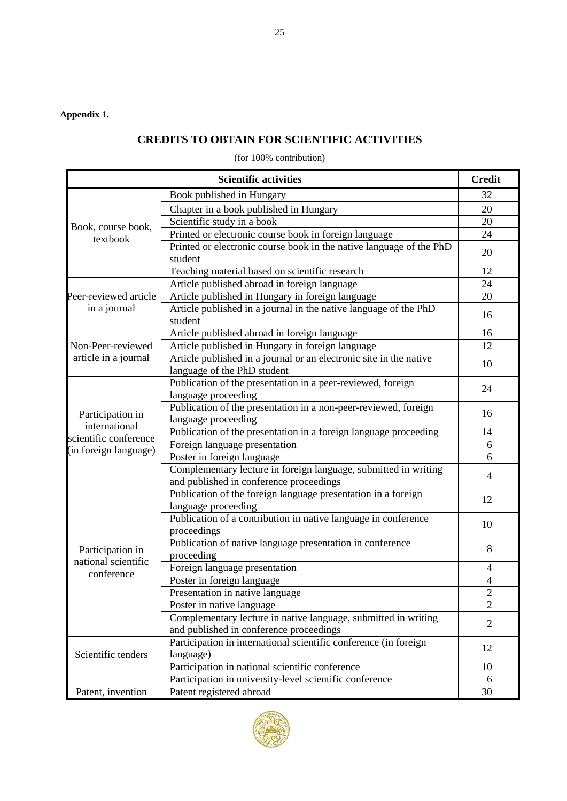### **Appendix 1.**

## **CREDITS TO OBTAIN FOR SCIENTIFIC ACTIVITIES**

(for 100% contribution)

|                                                            | <b>Scientific activities</b>                                                                               | <b>Credit</b>  |
|------------------------------------------------------------|------------------------------------------------------------------------------------------------------------|----------------|
|                                                            | Book published in Hungary                                                                                  | 32             |
|                                                            | Chapter in a book published in Hungary                                                                     | 20             |
| Book, course book,<br>textbook                             | Scientific study in a book                                                                                 | 20             |
|                                                            | Printed or electronic course book in foreign language                                                      | 24             |
|                                                            | Printed or electronic course book in the native language of the PhD<br>student                             | 20             |
|                                                            | Teaching material based on scientific research                                                             | 12             |
|                                                            | Article published abroad in foreign language                                                               | 24             |
| Peer-reviewed article                                      | Article published in Hungary in foreign language                                                           | 20             |
| in a journal                                               | Article published in a journal in the native language of the PhD<br>student                                | 16             |
|                                                            | Article published abroad in foreign language                                                               | 16             |
| Non-Peer-reviewed                                          | Article published in Hungary in foreign language                                                           | 12             |
| article in a journal                                       | Article published in a journal or an electronic site in the native<br>language of the PhD student          | 10             |
| Participation in<br>international<br>scientific conference | Publication of the presentation in a peer-reviewed, foreign<br>language proceeding                         | 24             |
|                                                            | Publication of the presentation in a non-peer-reviewed, foreign<br>language proceeding                     | 16             |
|                                                            | Publication of the presentation in a foreign language proceeding                                           | 14             |
|                                                            | Foreign language presentation                                                                              | 6              |
| (in foreign language)                                      | Poster in foreign language                                                                                 | 6              |
|                                                            | Complementary lecture in foreign language, submitted in writing<br>and published in conference proceedings | 4              |
|                                                            | Publication of the foreign language presentation in a foreign<br>language proceeding                       | 12             |
|                                                            | Publication of a contribution in native language in conference<br>proceedings                              | 10             |
| Participation in                                           | Publication of native language presentation in conference<br>proceeding                                    | 8              |
| national scientific                                        | Foreign language presentation                                                                              | $\overline{4}$ |
| conference                                                 | Poster in foreign language                                                                                 | $\overline{4}$ |
|                                                            | Presentation in native language                                                                            | $\overline{2}$ |
|                                                            | Poster in native language                                                                                  | $\overline{2}$ |
|                                                            | Complementary lecture in native language, submitted in writing<br>and published in conference proceedings  | $\overline{2}$ |
| Scientific tenders                                         | Participation in international scientific conference (in foreign<br>language)                              | 12             |
|                                                            | Participation in national scientific conference                                                            | 10             |
|                                                            | Participation in university-level scientific conference                                                    | 6              |
| Patent, invention                                          | Patent registered abroad                                                                                   | 30             |